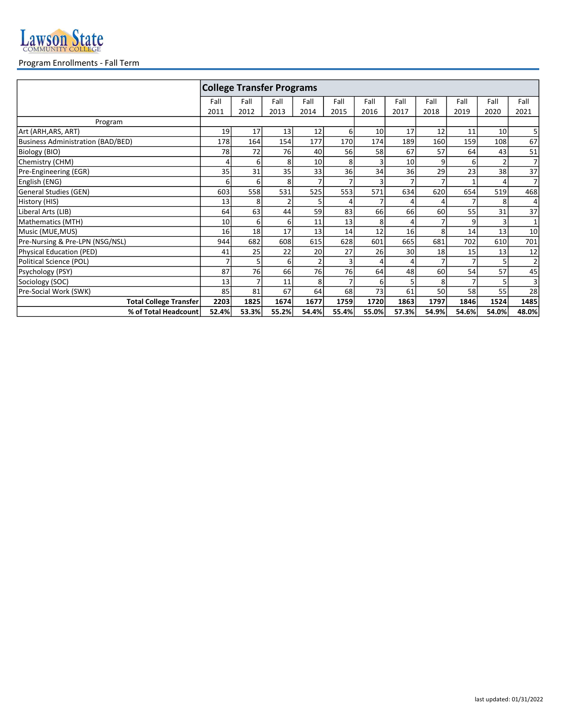

## Program Enrollments - Fall Term

|                                          | <b>College Transfer Programs</b> |       |       |       |       |       |                 |       |       |                 |                |
|------------------------------------------|----------------------------------|-------|-------|-------|-------|-------|-----------------|-------|-------|-----------------|----------------|
|                                          | Fall                             | Fall  | Fall  | Fall  | Fall  | Fall  | Fall            | Fall  | Fall  | Fall            | Fall           |
|                                          | 2011                             | 2012  | 2013  | 2014  | 2015  | 2016  | 2017            | 2018  | 2019  | 2020            | 2021           |
| Program                                  |                                  |       |       |       |       |       |                 |       |       |                 |                |
| Art (ARH,ARS, ART)                       | 19                               | 17    | 13    | 12    | 6     | 10    | 17              | 12    | 11    | 10 <sup>1</sup> | 5 <sup>1</sup> |
| <b>Business Administration (BAD/BED)</b> | 178                              | 164   | 154   | 177   | 170   | 174   | 189             | 160   | 159   | 108             | 67             |
| Biology (BIO)                            | 78                               | 72    | 76    | 40    | 56    | 58    | 67              | 57    | 64    | 43              | 51             |
| Chemistry (CHM)                          | 4                                | 6     | 8     | 10    | 8     | 3     | 10 <sup>1</sup> | 9     | 6     |                 | $\overline{7}$ |
| Pre-Engineering (EGR)                    | 35                               | 31    | 35    | 33    | 36    | 34    | 36              | 29    | 23    | 38              | 37             |
| English (ENG)                            | 6                                | 6     | 8     |       |       | 3     | 7               |       |       |                 | $\overline{7}$ |
| General Studies (GEN)                    | 603                              | 558   | 531   | 525   | 553   | 571   | 634             | 620   | 654   | 519             | 468            |
| History (HIS)                            | 13                               | 8     | 2     |       |       |       | 4               |       |       | 8               | $\overline{4}$ |
| Liberal Arts (LIB)                       | 64                               | 63    | 44    | 59    | 83    | 66    | 66              | 60    | 55    | 31              | 37             |
| Mathematics (MTH)                        | 10                               | 6     | 6     | 11    | 13    | 8     | 4               |       | 9     |                 | $\mathbf 1$    |
| Music (MUE,MUS)                          | 16                               | 18    | 17    | 13    | 14    | 12    | 16              | 8     | 14    | 13              | 10             |
| Pre-Nursing & Pre-LPN (NSG/NSL)          | 944                              | 682   | 608   | 615   | 628   | 601   | 665             | 681   | 702   | 610             | 701            |
| Physical Education (PED)                 | 41                               | 25    | 22    | 20    | 27    | 26    | 30              | 18    | 15    | 13              | 12             |
| Political Science (POL)                  |                                  | 5     | 6     |       |       |       | 4               |       |       |                 | $\overline{2}$ |
| Psychology (PSY)                         | 87                               | 76    | 66    | 76    | 76    | 64    | 48              | 60    | 54    | 57              | 45             |
| Sociology (SOC)                          | 13                               | 7     | 11    | 8     |       | 6     | 5               | 8     |       |                 | $\overline{3}$ |
| Pre-Social Work (SWK)                    | 85                               | 81    | 67    | 64    | 68    | 73    | 61              | 50    | 58    | 55              | 28             |
| <b>Total College Transfer</b>            | 2203                             | 1825  | 1674  | 1677  | 1759  | 1720  | 1863            | 1797  | 1846  | 1524            | 1485           |
| % of Total Headcount                     | 52.4%                            | 53.3% | 55.2% | 54.4% | 55.4% | 55.0% | 57.3%           | 54.9% | 54.6% | 54.0%           | 48.0%          |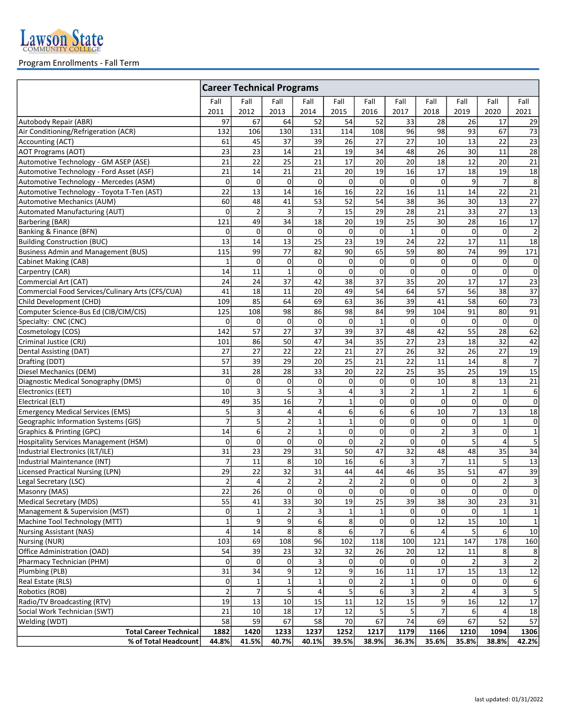

## Program Enrollments - Fall Term

|                                                  | <b>Career Technical Programs</b> |                      |                  |                 |                 |                |                               |                              |                 |                |                  |
|--------------------------------------------------|----------------------------------|----------------------|------------------|-----------------|-----------------|----------------|-------------------------------|------------------------------|-----------------|----------------|------------------|
|                                                  | Fall                             | Fall                 | Fall             | Fall            | Fall            | Fall           | Fall                          | Fall                         | Fall            | Fall           | Fall             |
|                                                  | 2011                             | 2012                 | 2013             | 2014            | 2015            | 2016           | 2017                          | 2018                         | 2019            | 2020           | 2021             |
| Autobody Repair (ABR)                            | 97                               | 67                   | 64               | 52              | 54              | 52             | 33                            | 28                           | 26              | 17             | 29               |
| Air Conditioning/Refrigeration (ACR)             | 132                              | 106                  | 130              | 131             | 114             | 108            | 96                            | 98                           | 93              | 67             | 73               |
| Accounting (ACT)                                 | 61                               | 45                   | 37               | 39              | 26              | 27             | 27                            | 10                           | 13              | 22             | 23               |
| <b>AOT Programs (AOT)</b>                        | 23                               | 23                   | 14               | 21              | 19              | 34             | 48                            | 26                           | 30              | 11             | 28               |
| Automotive Technology - GM ASEP (ASE)            | $\overline{21}$                  | 22                   | 25               | 21              | 17              | 20             | 20                            | 18                           | 12              | 20             | 21               |
| Automotive Technology - Ford Asset (ASF)         | 21                               | 14                   | 21               | 21              | 20              | 19             | 16                            | 17                           | 18              | 19             | 18               |
| Automotive Technology - Mercedes (ASM)           | 0                                | 0                    | 0                | $\mathbf{0}$    | $\mathbf 0$     | 0              | $\overline{0}$                | $\mathbf 0$                  | 9               | $\overline{7}$ | $\bf 8$          |
| Automotive Technology - Toyota T-Ten (AST)       | 22                               | 13                   | 14               | 16              | 16              | 22             | 16                            | 11                           | 14              | 22             | 21               |
| Automotive Mechanics (AUM)                       | 60                               | 48                   | 41               | $\overline{53}$ | $\overline{52}$ | 54             | $\overline{38}$               | $\overline{36}$              | 30              | 13             | $\overline{27}$  |
| Automated Manufacturing (AUT)                    | $\mathbf 0$                      | $\overline{2}$       | 3                | $\overline{7}$  | 15              | 29             | $\overline{28}$               | 21                           | $\overline{33}$ | 27             | 13               |
| Barbering (BAR)                                  | 121                              | 49                   | 34               | 18              | 20              | 19             | 25                            | 30                           | 28              | 16             | 17               |
| Banking & Finance (BFN)                          | 0                                | 0                    | 0                | $\mathbf 0$     | $\mathbf 0$     | 0              | $\mathbf 1$                   | 0                            | $\mathbf 0$     | $\Omega$       | $\overline{2}$   |
| <b>Building Construction (BUC)</b>               | 13                               | 14                   | 13               | 25              | 23              | 19             | 24                            | 22                           | 17              | 11             | 18               |
| <b>Business Admin and Management (BUS)</b>       | 115                              | 99                   | 77               | 82              | 90              | 65             | 59                            | 80                           | 74              | 99             | 171              |
| Cabinet Making (CAB)                             | $\mathbf{1}$                     | 0                    | 0                | $\mathbf 0$     | $\mathbf 0$     | $\mathbf 0$    | $\overline{0}$                | $\mathbf 0$                  | $\mathbf{0}$    | $\Omega$       | $\mathbf 0$      |
| Carpentry (CAR)                                  | 14                               | 11                   | $\mathbf{1}$     | $\mathbf 0$     | $\mathbf 0$     | 0              | $\mathbf 0$                   | $\mathbf 0$                  | 0               | $\Omega$       | $\pmb{0}$        |
| Commercial Art (CAT)                             | 24                               | 24                   | 37               | 42              | 38              | 37             | 35                            | 20                           | 17              | 17             | 23               |
| Commercial Food Services/Culinary Arts (CFS/CUA) | 41                               | 18                   | 11               | 20              | 49              | 54             | 64                            | 57                           | 56              | 38             | 37               |
| Child Development (CHD)                          | 109                              | 85                   | 64               | 69              | 63              | 36             | 39                            | 41                           | 58              | 60             | 73               |
| Computer Science-Bus Ed (CIB/CIM/CIS)            | 125                              | 108                  | 98               | 86              | 98              | 84             | 99                            | 104                          | 91              | 80             | 91               |
| Specialty: CNC (CNC)                             | $\mathbf 0$                      | 0                    | 0                | $\mathbf{0}$    | $\mathbf 0$     | $\mathbf{1}$   | $\Omega$                      | $\mathbf 0$                  | $\mathbf{0}$    | 0              | $\mathbf 0$      |
| Cosmetology (COS)                                | 142                              | 57                   | 27               | 37              | 39              | 37             | 48                            | 42                           | 55              | 28             | 62               |
| Criminal Justice (CRJ)                           | 101                              | 86                   | 50               | 47              | 34              | 35             | 27                            | 23                           | 18              | 32             | 42               |
| Dental Assisting (DAT)                           | 27                               | 27                   | 22               | 22              | 21              | 27             | 26                            | 32                           | 26              | 27             | 19               |
| Drafting (DDT)                                   | 57                               | 39                   | 29               | 20              | 25              | 21             | 22                            | 11                           | 14              | 8              | $\overline{7}$   |
| Diesel Mechanics (DEM)                           | $\overline{31}$                  | 28                   | 28               | 33              | 20              | 22             | 25                            | 35                           | 25              | 19             | 15               |
| Diagnostic Medical Sonography (DMS)              | 0                                | $\pmb{0}$            | $\mathsf 0$      | 0               | $\mathbf 0$     | $\mathbf 0$    | $\boldsymbol{0}$              | $\overline{10}$              | 8               | 13             | 21               |
| Electronics (EET)                                | 10                               | 3                    | 5                | 3               | 4               | 3              | $\overline{2}$                | $\mathbf{1}$                 | 2               | $\mathbf{1}$   | $\boldsymbol{6}$ |
| Electrical (ELT)                                 | 49                               | 35                   | 16               | $\overline{7}$  | $\mathbf{1}$    | $\mathbf 0$    | $\overline{0}$                | 0                            | $\mathbf{0}$    | $\Omega$       | $\mathbf 0$      |
| <b>Emergency Medical Services (EMS)</b>          | 5                                | 3                    | $\overline{4}$   | 4               | 6               | 6              | 6                             | 10                           | $\overline{7}$  | 13             | 18               |
| Geographic Information Systems (GIS)             | $\overline{7}$                   | 5                    | $\mathbf 2$      | $\mathbf 1$     | $\mathbf{1}$    | $\mathbf 0$    | $\mathbf{0}$                  | 0                            | 0               | $\mathbf{1}$   | $\mathbf 0$      |
| Graphics & Printing (GPC)                        | 14                               | $\boldsymbol{6}$     | $\mathbf 2$      | $\mathbf{1}$    | $\mathbf 0$     | $\mathbf 0$    | $\overline{0}$                | $\overline{2}$               | $\overline{3}$  | $\Omega$       | $\mathbf 1$      |
| Hospitality Services Management (HSM)            | $\mathbf 0$                      | $\pmb{0}$            | $\mathbf 0$      | $\mathbf 0$     | $\Omega$        | $\overline{2}$ | $\mathbf 0$                   | 0                            | 5               | 4              | $\overline{5}$   |
| Industrial Electronics (ILT/ILE)                 | 31                               | $\overline{23}$      | $\overline{29}$  | 31              | 50              | 47             | 32                            | 48                           | 48              | 35             | 34               |
| Industrial Maintenance (INT)                     | 7                                | 11                   | 8                | 10              | 16              | 6              | 3                             | $\overline{7}$               | 11              | 5              | 13               |
| Licensed Practical Nursing (LPN)                 | 29                               | 22                   | 32               | 31              | 44              | 44             | 46                            | 35                           | 51              | 47             | 39               |
| Legal Secretary (LSC)                            | $\overline{2}$                   | 4                    | $\mathbf 2$      | $\overline{2}$  | $\overline{2}$  | $\mathbf 2$    | $\mathbf{0}$                  | 0                            | $\mathbf 0$     | $\overline{2}$ | $\mathsf 3$      |
| Masonry (MAS)                                    | 22                               | 26                   | 0                | 0               | 0               | $\mathbf{0}$   | 0                             | $\overline{0}$               | 0               | 0              | $\pmb{0}$        |
| Medical Secretary (MDS)                          | 55                               | 41                   | 33               | 30              | 19              | 25             | 39                            | 38                           | 30              | 23             | 31               |
| Management & Supervision (MST)                   | 0                                | 1                    | 2                | 3               |                 | 1              | $\overline{0}$                | 0                            | 0               |                | $\mathbf{1}$     |
| Machine Tool Technology (MTT)                    | $\mathbf{1}$                     | 9                    | 9                | 6               | 8               | $\mathbf 0$    | 0                             | 12                           | 15              | 10             | $\mathbf 1$      |
| Nursing Assistant (NAS)                          | 4                                | 14                   | 8                | 8               | 6               | $\overline{7}$ | 6                             | 4                            | 5               | $6 \mid$       | 10               |
| Nursing (NUR)                                    | 103                              | 69                   | 108              | 96              | 102             | 118            | 100                           | 121                          | 147             | 178            | 160              |
| Office Administration (OAD)                      | 54                               | 39                   | 23               | 32              | 32              | 26             | 20                            | 12                           | 11              | 8              | 8                |
| Pharmacy Technician (PHM)                        | 0                                | $\overline{0}$       | $\boldsymbol{0}$ | 3               | $\mathbf 0$     | $\mathbf 0$    | $\overline{0}$                | 0                            | 2               |                | $\mathbf 2$      |
| Plumbing (PLB)                                   | 31                               | 34                   | 9                | 12              | 9               | 16             | 11                            | 17                           | 15              | 13             | $12\,$           |
| Real Estate (RLS)                                | 0                                | $\mathbf 1$          | 1                | $\mathbf{1}$    | $\Omega$        | 2              | 1                             | 0                            | 0               | $\Omega$       | 6                |
| Robotics (ROB)                                   | $\overline{2}$                   | $\overline{7}$<br>13 | 5                | $\overline{4}$  |                 | 6              | $\overline{\mathbf{3}}$<br>15 | $\overline{\mathbf{c}}$<br>9 |                 |                | 5                |
| Radio/TV Broadcasting (RTV)                      | 19<br>21                         | 10                   | 10<br>18         | 15<br>17        | 11<br>12        | 12<br>5        |                               |                              | 16              | 12             | $17\,$           |
| Social Work Technician (SWT)                     | 58                               | 59                   | 67               | 58              | 70              | 67             | 5<br>74                       | 69                           | 6<br>67         | 52             | 18               |
| Welding (WDT)<br><b>Total Career Technical</b>   | 1882                             | 1420                 | 1233             | 1237            | 1252            | 1217           | 1179                          | 1166                         | 1210            | 1094           | 57<br>1306       |
| % of Total Headcount                             | 44.8%                            | 41.5%                | 40.7%            | 40.1%           | 39.5%           | 38.9%          | 36.3%                         | 35.6%                        | 35.8%           | 38.8%          | 42.2%            |